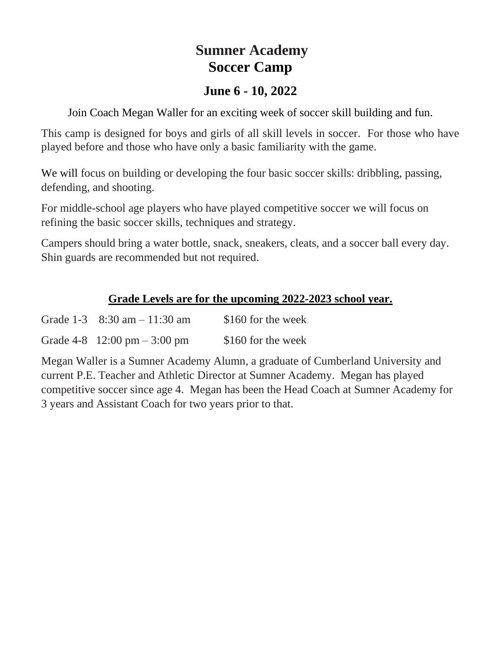# **Sumner Academy Soccer Camp**

### **June 6 - 10, 2022**

Join Coach Megan Waller for an exciting week of soccer skill building and fun.

This camp is designed for boys and girls of all skill levels in soccer. For those who have played before and those who have only a basic familiarity with the game.

We will focus on building or developing the four basic soccer skills: dribbling, passing, defending, and shooting.

For middle-school age players who have played competitive soccer we will focus on refining the basic soccer skills, techniques and strategy.

Campers should bring a water bottle, snack, sneakers, cleats, and a soccer ball every day. Shin guards are recommended but not required.

### **Grade Levels are for the upcoming 2022-2023 school year.**

| Grade $1-3$ 8:30 am $-11:30$ am | \$160 for the week |
|---------------------------------|--------------------|
| Grade $4-8$ 12:00 pm $-3:00$ pm | \$160 for the week |

Megan Waller is a Sumner Academy Alumn, a graduate of Cumberland University and current P.E. Teacher and Athletic Director at Sumner Academy. Megan has played competitive soccer since age 4. Megan has been the Head Coach at Sumner Academy for 3 years and Assistant Coach for two years prior to that.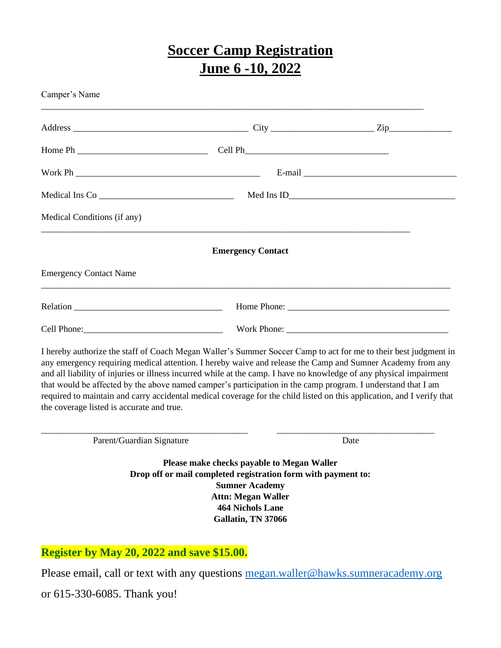# **Soccer Camp Registration June 6 -10, 2022**

| Camper's Name                                                                                                                                                                                                                                                                                                                                                                                                                                                                                                                                                                                                                               |                                                                                                                                                                                                                    |      |  |  |
|---------------------------------------------------------------------------------------------------------------------------------------------------------------------------------------------------------------------------------------------------------------------------------------------------------------------------------------------------------------------------------------------------------------------------------------------------------------------------------------------------------------------------------------------------------------------------------------------------------------------------------------------|--------------------------------------------------------------------------------------------------------------------------------------------------------------------------------------------------------------------|------|--|--|
|                                                                                                                                                                                                                                                                                                                                                                                                                                                                                                                                                                                                                                             |                                                                                                                                                                                                                    |      |  |  |
|                                                                                                                                                                                                                                                                                                                                                                                                                                                                                                                                                                                                                                             |                                                                                                                                                                                                                    |      |  |  |
|                                                                                                                                                                                                                                                                                                                                                                                                                                                                                                                                                                                                                                             |                                                                                                                                                                                                                    |      |  |  |
| Medical Ins Co $\frac{1}{2}$                                                                                                                                                                                                                                                                                                                                                                                                                                                                                                                                                                                                                |                                                                                                                                                                                                                    |      |  |  |
| Medical Conditions (if any)                                                                                                                                                                                                                                                                                                                                                                                                                                                                                                                                                                                                                 |                                                                                                                                                                                                                    |      |  |  |
|                                                                                                                                                                                                                                                                                                                                                                                                                                                                                                                                                                                                                                             | <b>Emergency Contact</b>                                                                                                                                                                                           |      |  |  |
| <b>Emergency Contact Name</b>                                                                                                                                                                                                                                                                                                                                                                                                                                                                                                                                                                                                               |                                                                                                                                                                                                                    |      |  |  |
|                                                                                                                                                                                                                                                                                                                                                                                                                                                                                                                                                                                                                                             |                                                                                                                                                                                                                    |      |  |  |
|                                                                                                                                                                                                                                                                                                                                                                                                                                                                                                                                                                                                                                             |                                                                                                                                                                                                                    |      |  |  |
| I hereby authorize the staff of Coach Megan Waller's Summer Soccer Camp to act for me to their best judgment in<br>any emergency requiring medical attention. I hereby waive and release the Camp and Sumner Academy from any<br>and all liability of injuries or illness incurred while at the camp. I have no knowledge of any physical impairment<br>that would be affected by the above named camper's participation in the camp program. I understand that I am<br>required to maintain and carry accidental medical coverage for the child listed on this application, and I verify that<br>the coverage listed is accurate and true. |                                                                                                                                                                                                                    |      |  |  |
| Parent/Guardian Signature                                                                                                                                                                                                                                                                                                                                                                                                                                                                                                                                                                                                                   |                                                                                                                                                                                                                    | Date |  |  |
|                                                                                                                                                                                                                                                                                                                                                                                                                                                                                                                                                                                                                                             | Please make checks payable to Megan Waller<br>Drop off or mail completed registration form with payment to:<br><b>Sumner Academy</b><br><b>Attn: Megan Waller</b><br><b>464 Nichols Lane</b><br>Gallatin, TN 37066 |      |  |  |
|                                                                                                                                                                                                                                                                                                                                                                                                                                                                                                                                                                                                                                             |                                                                                                                                                                                                                    |      |  |  |

**Register by May 20, 2022 and save \$15.00.** 

Please email, call or text with any questions [megan.waller@hawks.sumneracademy.org](mailto:megan.waller@hawks.sumneracademy.org)

or 615-330-6085. Thank you!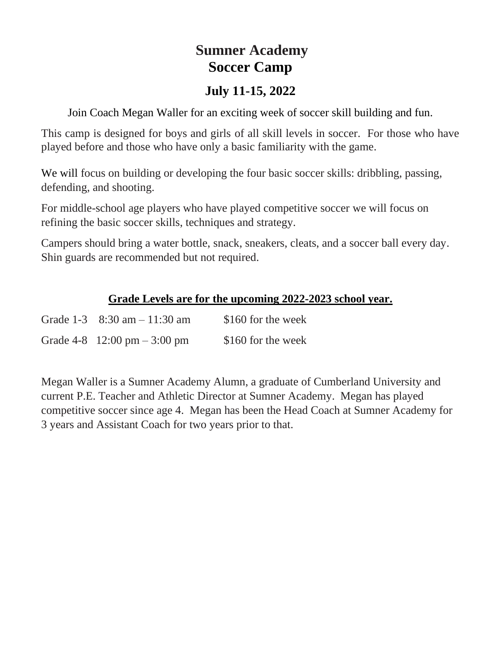# **Sumner Academy Soccer Camp**

## **July 11-15, 2022**

Join Coach Megan Waller for an exciting week of soccer skill building and fun.

This camp is designed for boys and girls of all skill levels in soccer. For those who have played before and those who have only a basic familiarity with the game.

We will focus on building or developing the four basic soccer skills: dribbling, passing, defending, and shooting.

For middle-school age players who have played competitive soccer we will focus on refining the basic soccer skills, techniques and strategy.

Campers should bring a water bottle, snack, sneakers, cleats, and a soccer ball every day. Shin guards are recommended but not required.

### **Grade Levels are for the upcoming 2022-2023 school year.**

| Grade $1-3$ 8:30 am $-11:30$ am | \$160 for the week |
|---------------------------------|--------------------|
| Grade $4-8$ 12:00 pm $-3:00$ pm | \$160 for the week |

Megan Waller is a Sumner Academy Alumn, a graduate of Cumberland University and current P.E. Teacher and Athletic Director at Sumner Academy. Megan has played competitive soccer since age 4. Megan has been the Head Coach at Sumner Academy for 3 years and Assistant Coach for two years prior to that.